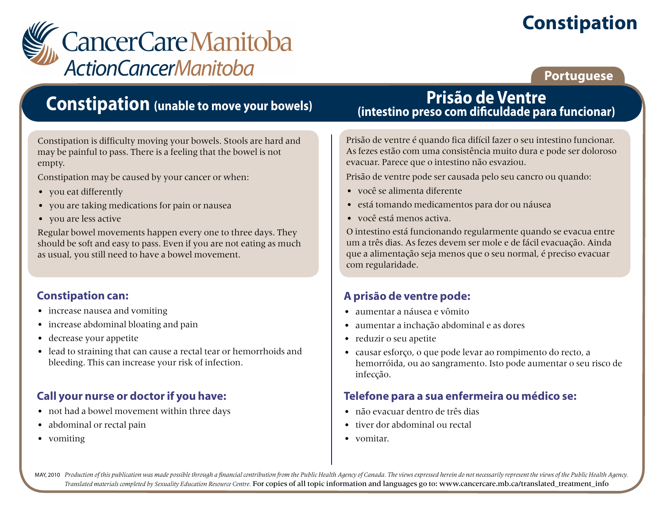# **Constipation**



### **Portuguese**

# **Constipation (unable to move your bowels)**

Constipation is difficulty moving your bowels. Stools are hard and may be painful to pass. There is a feeling that the bowel is not empty.

Constipation may be caused by your cancer or when:

- you eat differently
- you are taking medications for pain or nausea
- you are less active

Regular bowel movements happen every one to three days. They should be soft and easy to pass. Even if you are not eating as much as usual, you still need to have a bowel movement.

### **Constipation can:**

- increase nausea and vomiting
- increase abdominal bloating and pain
- decrease your appetite
- lead to straining that can cause a rectal tear or hemorrhoids and bleeding. This can increase your risk of infection.

### **Call your nurse or doctor if you have:**

- not had a bowel movement within three days
- abdominal or rectal pain
- vomiting

### **Prisão de Ventre (intestino preso com dificuldade para funcionar)**

Prisão de ventre é quando fica difícil fazer o seu intestino funcionar. As fezes estão com uma consistência muito dura e pode ser doloroso evacuar. Parece que o intestino não esvaziou.

Prisão de ventre pode ser causada pelo seu cancro ou quando:

- você se alimenta diferente
- está tomando medicamentos para dor ou náusea
- você está menos activa.

O intestino está funcionando regularmente quando se evacua entre um a três dias. As fezes devem ser mole e de fácil evacuação. Ainda que a alimentação seja menos que o seu normal, é preciso evacuar com regularidade.

### **A prisão de ventre pode:**

- aumentar a náusea e vômito
- aumentar a inchação abdominal e as dores
- reduzir o seu apetite
- causar esforço, o que pode levar ao rompimento do recto, a hemorróida, ou ao sangramento. Isto pode aumentar o seu risco de infecção.

### **Telefone para a sua enfermeira ou médico se:**

- não evacuar dentro de três dias
- tiver dor abdominal ou rectal
- vomitar.

MAY, 2010 Production of this publication was made possible through a financial contribution from the Public Health Agency of Canada. The views expressed herein do not necessarily represent the views of the Public Health Ag *Translated materials completed by Sexuality Education Resource Centre.* For copies of all topic information and languages go to: www.cancercare.mb.ca/translated\_treatment\_info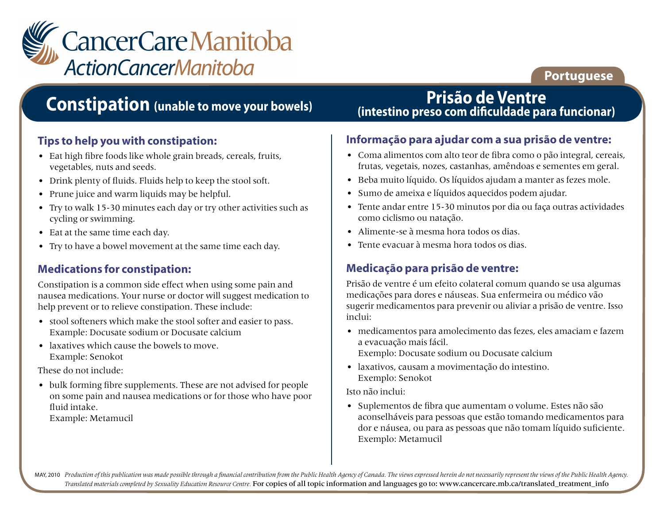

### **Portuguese**

# **Constipation (unable to move your bowels)**

#### **Tips to help you with constipation:**

- Eat high fibre foods like whole grain breads, cereals, fruits, vegetables, nuts and seeds.
- Drink plenty of fluids. Fluids help to keep the stool soft.
- Prune juice and warm liquids may be helpful.
- Try to walk 15-30 minutes each day or try other activities such as cycling or swimming.
- Eat at the same time each day.
- Try to have a bowel movement at the same time each day.

#### **Medications for constipation:**

Constipation is a common side effect when using some pain and nausea medications. Your nurse or doctor will suggest medication to help prevent or to relieve constipation. These include:

- stool softeners which make the stool softer and easier to pass. Example: Docusate sodium or Docusate calcium
- laxatives which cause the bowels to move. Example: Senokot

These do not include:

• bulk forming fibre supplements. These are not advised for people on some pain and nausea medications or for those who have poor fluid intake.

Example: Metamucil

### **Prisão de Ventre (intestino preso com dificuldade para funcionar)**

#### **Informação para ajudar com a sua prisão de ventre:**

- Coma alimentos com alto teor de fibra como o pão integral, cereais, frutas, vegetais, nozes, castanhas, amêndoas e sementes em geral.
- Beba muito líquido. Os líquidos ajudam a manter as fezes mole.
- Sumo de ameixa e líquidos aquecidos podem ajudar.
- Tente andar entre 15-30 minutos por dia ou faça outras actividades como ciclismo ou natação.
- Alimente-se à mesma hora todos os dias.
- Tente evacuar à mesma hora todos os dias.

### **Medicação para prisão de ventre:**

Prisão de ventre é um efeito colateral comum quando se usa algumas medicações para dores e náuseas. Sua enfermeira ou médico vão sugerir medicamentos para prevenir ou aliviar a prisão de ventre. Isso inclui:

- medicamentos para amolecimento das fezes, eles amaciam e fazem a evacuação mais fácil. Exemplo: Docusate sodium ou Docusate calcium
- laxativos, causam a movimentação do intestino. Exemplo: Senokot

Isto não inclui:

• Suplementos de fibra que aumentam o volume. Estes não são aconselháveis para pessoas que estão tomando medicamentos para dor e náusea, ou para as pessoas que não tomam líquido suficiente. Exemplo: Metamucil

MAY, 2010 Production of this publication was made possible through a financial contribution from the Public Health Agency of Canada. The views expressed herein do not necessarily represent the views of the Public Health Ag *Translated materials completed by Sexuality Education Resource Centre.* For copies of all topic information and languages go to: www.cancercare.mb.ca/translated\_treatment\_info